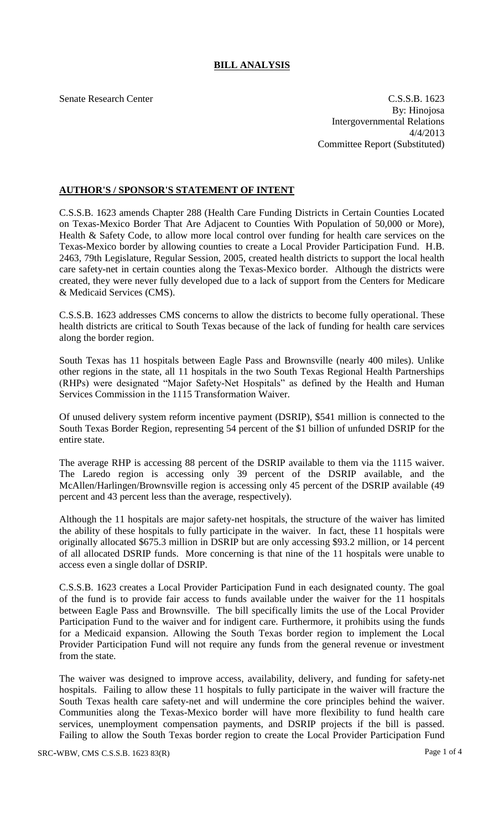# **BILL ANALYSIS**

Senate Research Center C.S.S.B. 1623 By: Hinojosa Intergovernmental Relations 4/4/2013 Committee Report (Substituted)

# **AUTHOR'S / SPONSOR'S STATEMENT OF INTENT**

C.S.S.B. 1623 amends Chapter 288 (Health Care Funding Districts in Certain Counties Located on Texas-Mexico Border That Are Adjacent to Counties With Population of 50,000 or More), Health & Safety Code, to allow more local control over funding for health care services on the Texas-Mexico border by allowing counties to create a Local Provider Participation Fund. H.B. 2463, 79th Legislature, Regular Session, 2005, created health districts to support the local health care safety-net in certain counties along the Texas-Mexico border. Although the districts were created, they were never fully developed due to a lack of support from the Centers for Medicare & Medicaid Services (CMS).

C.S.S.B. 1623 addresses CMS concerns to allow the districts to become fully operational. These health districts are critical to South Texas because of the lack of funding for health care services along the border region.

South Texas has 11 hospitals between Eagle Pass and Brownsville (nearly 400 miles). Unlike other regions in the state, all 11 hospitals in the two South Texas Regional Health Partnerships (RHPs) were designated "Major Safety-Net Hospitals" as defined by the Health and Human Services Commission in the 1115 Transformation Waiver.

Of unused delivery system reform incentive payment (DSRIP), \$541 million is connected to the South Texas Border Region, representing 54 percent of the \$1 billion of unfunded DSRIP for the entire state.

The average RHP is accessing 88 percent of the DSRIP available to them via the 1115 waiver. The Laredo region is accessing only 39 percent of the DSRIP available, and the McAllen/Harlingen/Brownsville region is accessing only 45 percent of the DSRIP available (49 percent and 43 percent less than the average, respectively).

Although the 11 hospitals are major safety-net hospitals, the structure of the waiver has limited the ability of these hospitals to fully participate in the waiver. In fact, these 11 hospitals were originally allocated \$675.3 million in DSRIP but are only accessing \$93.2 million, or 14 percent of all allocated DSRIP funds. More concerning is that nine of the 11 hospitals were unable to access even a single dollar of DSRIP.

C.S.S.B. 1623 creates a Local Provider Participation Fund in each designated county. The goal of the fund is to provide fair access to funds available under the waiver for the 11 hospitals between Eagle Pass and Brownsville. The bill specifically limits the use of the Local Provider Participation Fund to the waiver and for indigent care. Furthermore, it prohibits using the funds for a Medicaid expansion. Allowing the South Texas border region to implement the Local Provider Participation Fund will not require any funds from the general revenue or investment from the state.

The waiver was designed to improve access, availability, delivery, and funding for safety-net hospitals. Failing to allow these 11 hospitals to fully participate in the waiver will fracture the South Texas health care safety-net and will undermine the core principles behind the waiver. Communities along the Texas-Mexico border will have more flexibility to fund health care services, unemployment compensation payments, and DSRIP projects if the bill is passed. Failing to allow the South Texas border region to create the Local Provider Participation Fund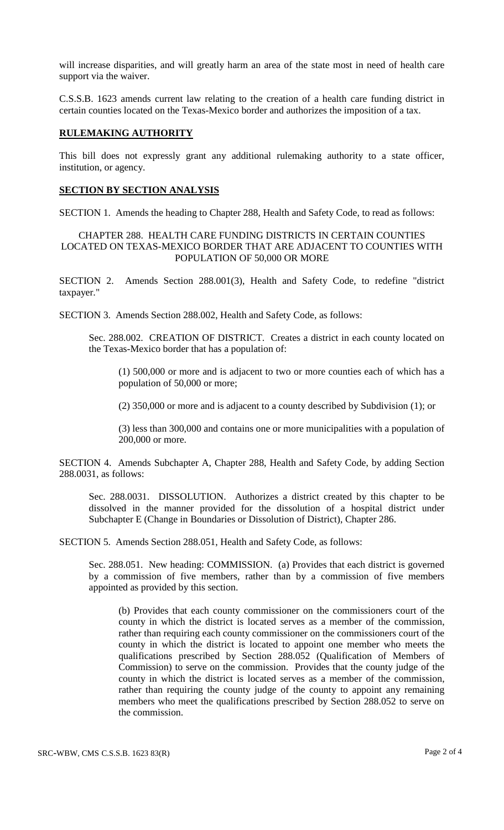will increase disparities, and will greatly harm an area of the state most in need of health care support via the waiver.

C.S.S.B. 1623 amends current law relating to the creation of a health care funding district in certain counties located on the Texas-Mexico border and authorizes the imposition of a tax.

#### **RULEMAKING AUTHORITY**

This bill does not expressly grant any additional rulemaking authority to a state officer, institution, or agency.

## **SECTION BY SECTION ANALYSIS**

SECTION 1. Amends the heading to Chapter 288, Health and Safety Code, to read as follows:

## CHAPTER 288. HEALTH CARE FUNDING DISTRICTS IN CERTAIN COUNTIES LOCATED ON TEXAS-MEXICO BORDER THAT ARE ADJACENT TO COUNTIES WITH POPULATION OF 50,000 OR MORE

SECTION 2. Amends Section 288.001(3), Health and Safety Code, to redefine "district taxpayer."

SECTION 3. Amends Section 288.002, Health and Safety Code, as follows:

Sec. 288.002. CREATION OF DISTRICT. Creates a district in each county located on the Texas-Mexico border that has a population of:

(1) 500,000 or more and is adjacent to two or more counties each of which has a population of 50,000 or more;

(2) 350,000 or more and is adjacent to a county described by Subdivision (1); or

(3) less than 300,000 and contains one or more municipalities with a population of 200,000 or more.

SECTION 4. Amends Subchapter A, Chapter 288, Health and Safety Code, by adding Section 288.0031, as follows:

Sec. 288.0031. DISSOLUTION. Authorizes a district created by this chapter to be dissolved in the manner provided for the dissolution of a hospital district under Subchapter E (Change in Boundaries or Dissolution of District), Chapter 286.

SECTION 5. Amends Section 288.051, Health and Safety Code, as follows:

Sec. 288.051. New heading: COMMISSION. (a) Provides that each district is governed by a commission of five members, rather than by a commission of five members appointed as provided by this section.

(b) Provides that each county commissioner on the commissioners court of the county in which the district is located serves as a member of the commission, rather than requiring each county commissioner on the commissioners court of the county in which the district is located to appoint one member who meets the qualifications prescribed by Section 288.052 (Qualification of Members of Commission) to serve on the commission. Provides that the county judge of the county in which the district is located serves as a member of the commission, rather than requiring the county judge of the county to appoint any remaining members who meet the qualifications prescribed by Section 288.052 to serve on the commission.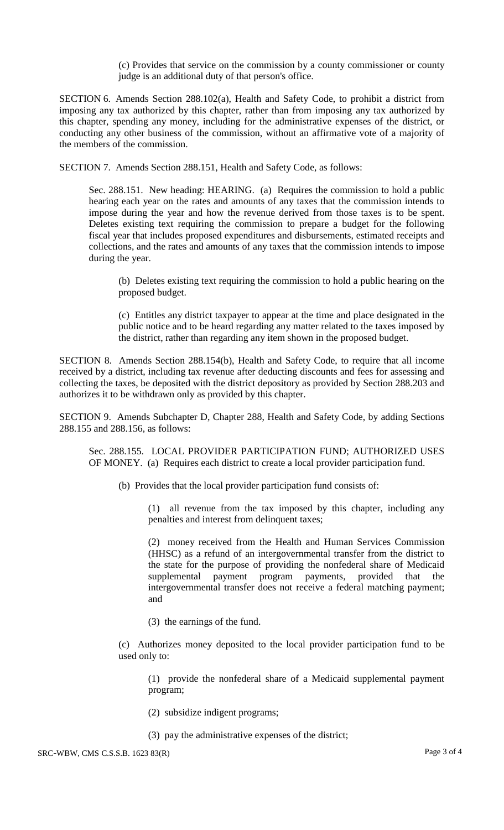(c) Provides that service on the commission by a county commissioner or county judge is an additional duty of that person's office.

SECTION 6. Amends Section 288.102(a), Health and Safety Code, to prohibit a district from imposing any tax authorized by this chapter, rather than from imposing any tax authorized by this chapter, spending any money, including for the administrative expenses of the district, or conducting any other business of the commission, without an affirmative vote of a majority of the members of the commission.

SECTION 7. Amends Section 288.151, Health and Safety Code, as follows:

Sec. 288.151. New heading: HEARING. (a) Requires the commission to hold a public hearing each year on the rates and amounts of any taxes that the commission intends to impose during the year and how the revenue derived from those taxes is to be spent. Deletes existing text requiring the commission to prepare a budget for the following fiscal year that includes proposed expenditures and disbursements, estimated receipts and collections, and the rates and amounts of any taxes that the commission intends to impose during the year.

(b) Deletes existing text requiring the commission to hold a public hearing on the proposed budget.

(c) Entitles any district taxpayer to appear at the time and place designated in the public notice and to be heard regarding any matter related to the taxes imposed by the district, rather than regarding any item shown in the proposed budget.

SECTION 8. Amends Section 288.154(b), Health and Safety Code, to require that all income received by a district, including tax revenue after deducting discounts and fees for assessing and collecting the taxes, be deposited with the district depository as provided by Section 288.203 and authorizes it to be withdrawn only as provided by this chapter.

SECTION 9. Amends Subchapter D, Chapter 288, Health and Safety Code, by adding Sections 288.155 and 288.156, as follows:

Sec. 288.155. LOCAL PROVIDER PARTICIPATION FUND; AUTHORIZED USES OF MONEY. (a) Requires each district to create a local provider participation fund.

(b) Provides that the local provider participation fund consists of:

(1) all revenue from the tax imposed by this chapter, including any penalties and interest from delinquent taxes;

(2) money received from the Health and Human Services Commission (HHSC) as a refund of an intergovernmental transfer from the district to the state for the purpose of providing the nonfederal share of Medicaid supplemental payment program payments, provided that the intergovernmental transfer does not receive a federal matching payment; and

(3) the earnings of the fund.

(c) Authorizes money deposited to the local provider participation fund to be used only to:

(1) provide the nonfederal share of a Medicaid supplemental payment program;

- (2) subsidize indigent programs;
- (3) pay the administrative expenses of the district;